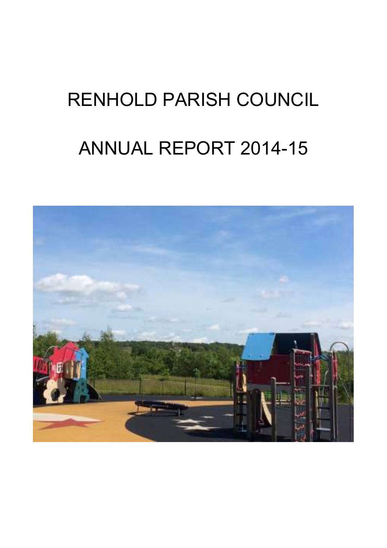# RENHOLD PARISH COUNCIL ANNUAL REPORT 2014-15

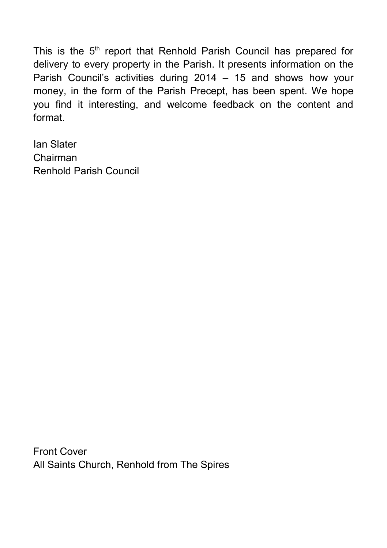This is the  $5<sup>th</sup>$  report that Renhold Parish Council has prepared for delivery to every property in the Parish. It presents information on the Parish Council's activities during 2014 – 15 and shows how your money, in the form of the Parish Precept, has been spent. We hope you find it interesting, and welcome feedback on the content and format.

Ian Slater Chairman Renhold Parish Council

Front Cover All Saints Church, Renhold from The Spires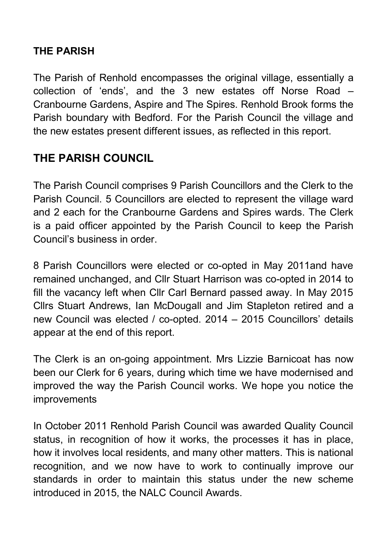## **THE PARISH**

The Parish of Renhold encompasses the original village, essentially a collection of 'ends', and the 3 new estates off Norse Road – Cranbourne Gardens, Aspire and The Spires. Renhold Brook forms the Parish boundary with Bedford. For the Parish Council the village and the new estates present different issues, as reflected in this report.

## **THE PARISH COUNCIL**

The Parish Council comprises 9 Parish Councillors and the Clerk to the Parish Council. 5 Councillors are elected to represent the village ward and 2 each for the Cranbourne Gardens and Spires wards. The Clerk is a paid officer appointed by the Parish Council to keep the Parish Council's business in order.

8 Parish Councillors were elected or co-opted in May 2011and have remained unchanged, and Cllr Stuart Harrison was co-opted in 2014 to fill the vacancy left when Cllr Carl Bernard passed away. In May 2015 Cllrs Stuart Andrews, Ian McDougall and Jim Stapleton retired and a new Council was elected / co-opted. 2014 – 2015 Councillors' details appear at the end of this report.

The Clerk is an on-going appointment. Mrs Lizzie Barnicoat has now been our Clerk for 6 years, during which time we have modernised and improved the way the Parish Council works. We hope you notice the improvements

In October 2011 Renhold Parish Council was awarded Quality Council status, in recognition of how it works, the processes it has in place, how it involves local residents, and many other matters. This is national recognition, and we now have to work to continually improve our standards in order to maintain this status under the new scheme introduced in 2015, the NALC Council Awards.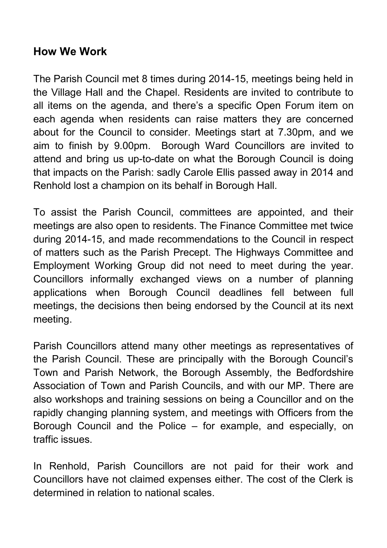## **How We Work**

The Parish Council met 8 times during 2014-15, meetings being held in the Village Hall and the Chapel. Residents are invited to contribute to all items on the agenda, and there's a specific Open Forum item on each agenda when residents can raise matters they are concerned about for the Council to consider. Meetings start at 7.30pm, and we aim to finish by 9.00pm. Borough Ward Councillors are invited to attend and bring us up-to-date on what the Borough Council is doing that impacts on the Parish: sadly Carole Ellis passed away in 2014 and Renhold lost a champion on its behalf in Borough Hall.

To assist the Parish Council, committees are appointed, and their meetings are also open to residents. The Finance Committee met twice during 2014-15, and made recommendations to the Council in respect of matters such as the Parish Precept. The Highways Committee and Employment Working Group did not need to meet during the year. Councillors informally exchanged views on a number of planning applications when Borough Council deadlines fell between full meetings, the decisions then being endorsed by the Council at its next meeting.

Parish Councillors attend many other meetings as representatives of the Parish Council. These are principally with the Borough Council's Town and Parish Network, the Borough Assembly, the Bedfordshire Association of Town and Parish Councils, and with our MP. There are also workshops and training sessions on being a Councillor and on the rapidly changing planning system, and meetings with Officers from the Borough Council and the Police – for example, and especially, on traffic issues.

In Renhold, Parish Councillors are not paid for their work and Councillors have not claimed expenses either. The cost of the Clerk is determined in relation to national scales.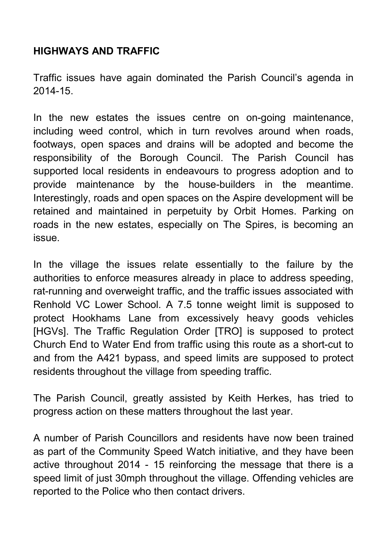## **HIGHWAYS AND TRAFFIC**

Traffic issues have again dominated the Parish Council's agenda in 2014-15.

In the new estates the issues centre on on-going maintenance, including weed control, which in turn revolves around when roads, footways, open spaces and drains will be adopted and become the responsibility of the Borough Council. The Parish Council has supported local residents in endeavours to progress adoption and to provide maintenance by the house-builders in the meantime. Interestingly, roads and open spaces on the Aspire development will be retained and maintained in perpetuity by Orbit Homes. Parking on roads in the new estates, especially on The Spires, is becoming an issue.

In the village the issues relate essentially to the failure by the authorities to enforce measures already in place to address speeding, rat-running and overweight traffic, and the traffic issues associated with Renhold VC Lower School. A 7.5 tonne weight limit is supposed to protect Hookhams Lane from excessively heavy goods vehicles [HGVs]. The Traffic Regulation Order [TRO] is supposed to protect Church End to Water End from traffic using this route as a short-cut to and from the A421 bypass, and speed limits are supposed to protect residents throughout the village from speeding traffic.

The Parish Council, greatly assisted by Keith Herkes, has tried to progress action on these matters throughout the last year.

A number of Parish Councillors and residents have now been trained as part of the Community Speed Watch initiative, and they have been active throughout 2014 - 15 reinforcing the message that there is a speed limit of just 30mph throughout the village. Offending vehicles are reported to the Police who then contact drivers.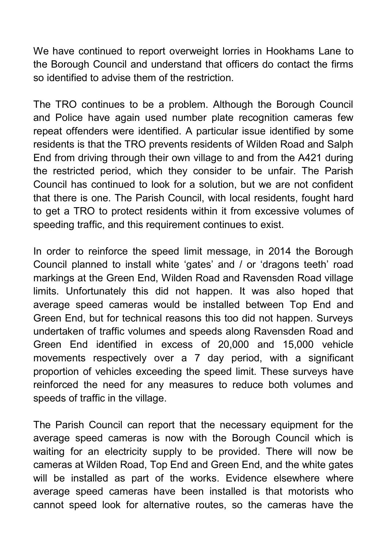We have continued to report overweight lorries in Hookhams Lane to the Borough Council and understand that officers do contact the firms so identified to advise them of the restriction.

The TRO continues to be a problem. Although the Borough Council and Police have again used number plate recognition cameras few repeat offenders were identified. A particular issue identified by some residents is that the TRO prevents residents of Wilden Road and Salph End from driving through their own village to and from the A421 during the restricted period, which they consider to be unfair. The Parish Council has continued to look for a solution, but we are not confident that there is one. The Parish Council, with local residents, fought hard to get a TRO to protect residents within it from excessive volumes of speeding traffic, and this requirement continues to exist.

In order to reinforce the speed limit message, in 2014 the Borough Council planned to install white 'gates' and / or 'dragons teeth' road markings at the Green End, Wilden Road and Ravensden Road village limits. Unfortunately this did not happen. It was also hoped that average speed cameras would be installed between Top End and Green End, but for technical reasons this too did not happen. Surveys undertaken of traffic volumes and speeds along Ravensden Road and Green End identified in excess of 20,000 and 15,000 vehicle movements respectively over a 7 day period, with a significant proportion of vehicles exceeding the speed limit. These surveys have reinforced the need for any measures to reduce both volumes and speeds of traffic in the village.

The Parish Council can report that the necessary equipment for the average speed cameras is now with the Borough Council which is waiting for an electricity supply to be provided. There will now be cameras at Wilden Road, Top End and Green End, and the white gates will be installed as part of the works. Evidence elsewhere where average speed cameras have been installed is that motorists who cannot speed look for alternative routes, so the cameras have the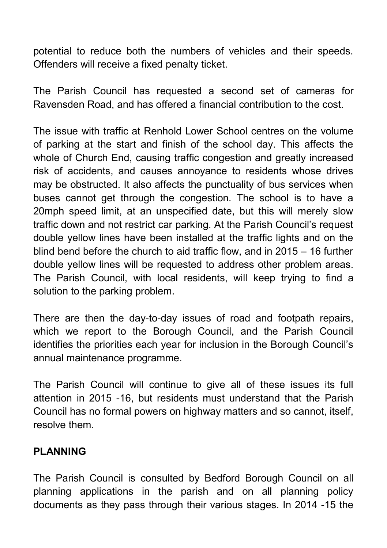potential to reduce both the numbers of vehicles and their speeds. Offenders will receive a fixed penalty ticket.

The Parish Council has requested a second set of cameras for Ravensden Road, and has offered a financial contribution to the cost.

The issue with traffic at Renhold Lower School centres on the volume of parking at the start and finish of the school day. This affects the whole of Church End, causing traffic congestion and greatly increased risk of accidents, and causes annoyance to residents whose drives may be obstructed. It also affects the punctuality of bus services when buses cannot get through the congestion. The school is to have a 20mph speed limit, at an unspecified date, but this will merely slow traffic down and not restrict car parking. At the Parish Council's request double yellow lines have been installed at the traffic lights and on the blind bend before the church to aid traffic flow, and in 2015 – 16 further double yellow lines will be requested to address other problem areas. The Parish Council, with local residents, will keep trying to find a solution to the parking problem.

There are then the day-to-day issues of road and footpath repairs, which we report to the Borough Council, and the Parish Council identifies the priorities each year for inclusion in the Borough Council's annual maintenance programme.

The Parish Council will continue to give all of these issues its full attention in 2015 -16, but residents must understand that the Parish Council has no formal powers on highway matters and so cannot, itself, resolve them.

## **PLANNING**

The Parish Council is consulted by Bedford Borough Council on all planning applications in the parish and on all planning policy documents as they pass through their various stages. In 2014 -15 the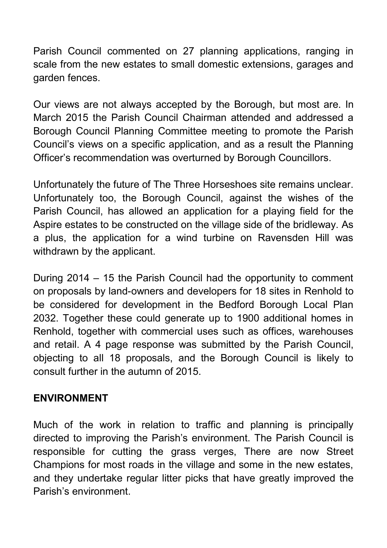Parish Council commented on 27 planning applications, ranging in scale from the new estates to small domestic extensions, garages and garden fences.

Our views are not always accepted by the Borough, but most are. In March 2015 the Parish Council Chairman attended and addressed a Borough Council Planning Committee meeting to promote the Parish Council's views on a specific application, and as a result the Planning Officer's recommendation was overturned by Borough Councillors.

Unfortunately the future of The Three Horseshoes site remains unclear. Unfortunately too, the Borough Council, against the wishes of the Parish Council, has allowed an application for a playing field for the Aspire estates to be constructed on the village side of the bridleway. As a plus, the application for a wind turbine on Ravensden Hill was withdrawn by the applicant.

During 2014 – 15 the Parish Council had the opportunity to comment on proposals by land-owners and developers for 18 sites in Renhold to be considered for development in the Bedford Borough Local Plan 2032. Together these could generate up to 1900 additional homes in Renhold, together with commercial uses such as offices, warehouses and retail. A 4 page response was submitted by the Parish Council, objecting to all 18 proposals, and the Borough Council is likely to consult further in the autumn of 2015.

## **ENVIRONMENT**

Much of the work in relation to traffic and planning is principally directed to improving the Parish's environment. The Parish Council is responsible for cutting the grass verges, There are now Street Champions for most roads in the village and some in the new estates, and they undertake regular litter picks that have greatly improved the Parish's environment.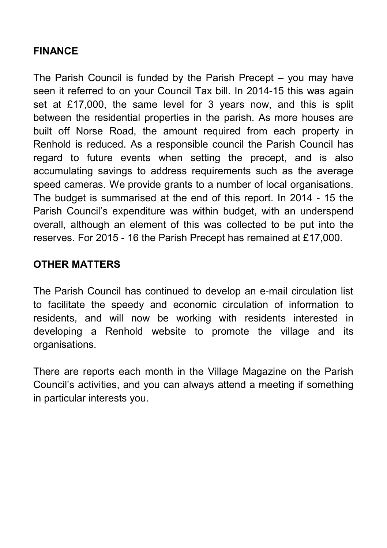## **FINANCE**

The Parish Council is funded by the Parish Precept – you may have seen it referred to on your Council Tax bill. In 2014-15 this was again set at £17,000, the same level for 3 years now, and this is split between the residential properties in the parish. As more houses are built off Norse Road, the amount required from each property in Renhold is reduced. As a responsible council the Parish Council has regard to future events when setting the precept, and is also accumulating savings to address requirements such as the average speed cameras. We provide grants to a number of local organisations. The budget is summarised at the end of this report. In 2014 - 15 the Parish Council's expenditure was within budget, with an underspend overall, although an element of this was collected to be put into the reserves. For 2015 - 16 the Parish Precept has remained at £17,000.

## **OTHER MATTERS**

The Parish Council has continued to develop an e-mail circulation list to facilitate the speedy and economic circulation of information to residents, and will now be working with residents interested in developing a Renhold website to promote the village and its organisations.

There are reports each month in the Village Magazine on the Parish Council's activities, and you can always attend a meeting if something in particular interests you.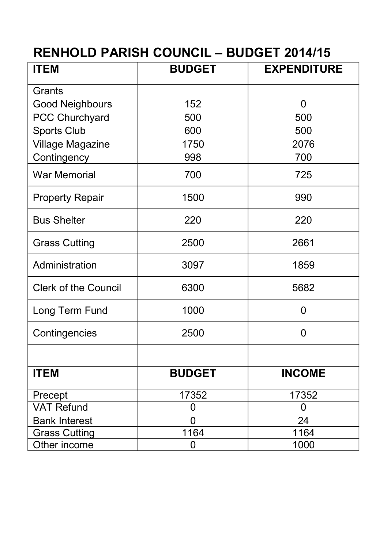# **RENHOLD PARISH COUNCIL – BUDGET 2014/15**

| <b>ITEM</b>                 | <b>BUDGET</b> | <b>EXPENDITURE</b> |
|-----------------------------|---------------|--------------------|
| Grants                      |               |                    |
| Good Neighbours             | 152           | 0                  |
| PCC Churchyard              | 500           | 500                |
| Sports Club                 | 600           | 500                |
| Village Magazine            | 1750          | 2076               |
| Contingency                 | 998           | 700                |
| <b>War Memorial</b>         | 700           | 725                |
| <b>Property Repair</b>      | 1500          | 990                |
| <b>Bus Shelter</b>          | 220           | 220                |
| <b>Grass Cutting</b>        | 2500          | 2661               |
| Administration              | 3097          | 1859               |
| <b>Clerk of the Council</b> | 6300          | 5682               |
| Long Term Fund              | 1000          | $\overline{0}$     |
| Contingencies               | 2500          | 0                  |
|                             |               |                    |
| <b>ITEM</b>                 | <b>BUDGET</b> | <b>INCOME</b>      |
| Precept                     | 17352         | 17352              |
| VAT Refund                  | 0             | 0                  |
| <b>Bank Interest</b>        | 0             | 24                 |
| <b>Grass Cutting</b>        | 1164          | 1164               |
| Other income                | 0             | 1000               |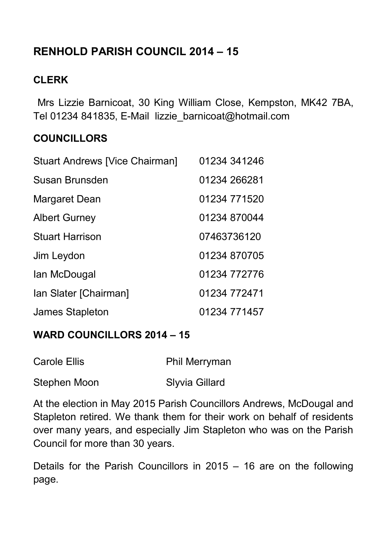# **RENHOLD PARISH COUNCIL 2014 – 15**

## **CLERK**

 Mrs Lizzie Barnicoat, 30 King William Close, Kempston, MK42 7BA, Tel 01234 841835, E-Mail lizzie\_barnicoat@hotmail.com

## **COUNCILLORS**

| Stuart Andrews [Vice Chairman] | 01234 341246 |
|--------------------------------|--------------|
| Susan Brunsden                 | 01234 266281 |
| Margaret Dean                  | 01234 771520 |
| <b>Albert Gurney</b>           | 01234 870044 |
| <b>Stuart Harrison</b>         | 07463736120  |
| Jim Leydon                     | 01234 870705 |
| lan McDougal                   | 01234 772776 |
| Ian Slater [Chairman]          | 01234 772471 |
| James Stapleton                | 01234 771457 |

## **WARD COUNCILLORS 2014 – 15**

| Carole Ellis | Phil Merryman  |
|--------------|----------------|
| Stephen Moon | Slyvia Gillard |

At the election in May 2015 Parish Councillors Andrews, McDougal and Stapleton retired. We thank them for their work on behalf of residents over many years, and especially Jim Stapleton who was on the Parish Council for more than 30 years.

Details for the Parish Councillors in 2015 – 16 are on the following page.